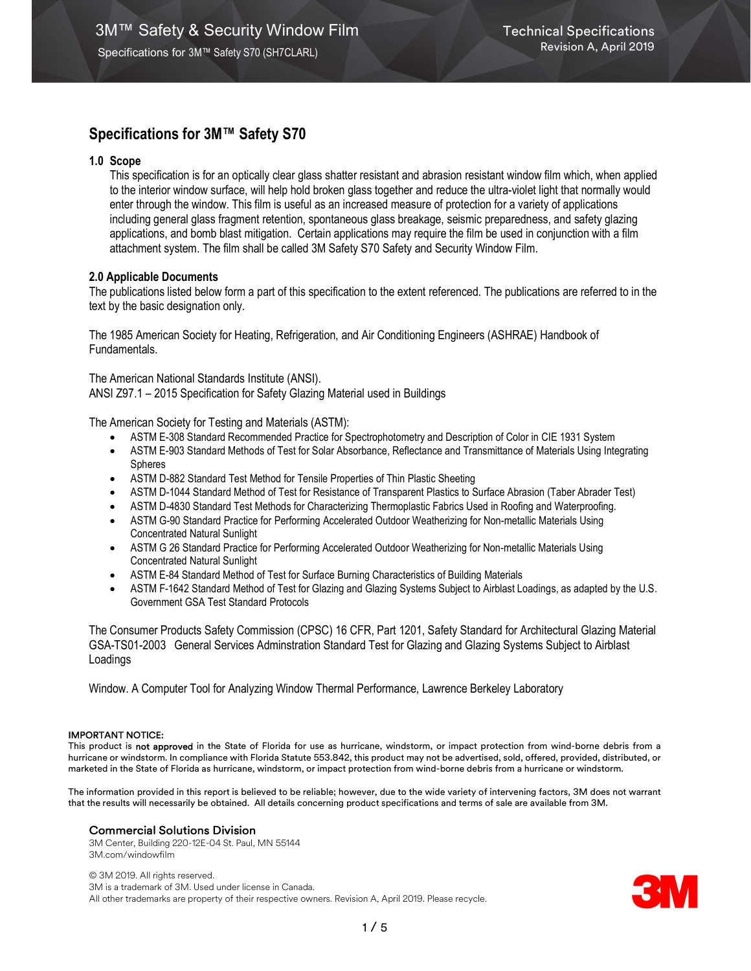# Specifications for 3M™ Safety S70

# 1.0 Scope

This specification is for an optically clear glass shatter resistant and abrasion resistant window film which, when applied to the interior window surface, will help hold broken glass together and reduce the ultra-violet light that normally would enter through the window. This film is useful as an increased measure of protection for a variety of applications including general glass fragment retention, spontaneous glass breakage, seismic preparedness, and safety glazing applications, and bomb blast mitigation. Certain applications may require the film be used in conjunction with a film attachment system. The film shall be called 3M Safety S70 Safety and Security Window Film.

# 2.0 Applicable Documents

The publications listed below form a part of this specification to the extent referenced. The publications are referred to in the text by the basic designation only.

The 1985 American Society for Heating, Refrigeration, and Air Conditioning Engineers (ASHRAE) Handbook of Fundamentals.

The American National Standards Institute (ANSI). ANSI Z97.1 – 2015 Specification for Safety Glazing Material used in Buildings

The American Society for Testing and Materials (ASTM):

- ASTM E-308 Standard Recommended Practice for Spectrophotometry and Description of Color in CIE 1931 System
- ASTM E-903 Standard Methods of Test for Solar Absorbance, Reflectance and Transmittance of Materials Using Integrating Spheres
- ASTM D-882 Standard Test Method for Tensile Properties of Thin Plastic Sheeting
- ASTM D-1044 Standard Method of Test for Resistance of Transparent Plastics to Surface Abrasion (Taber Abrader Test)
- ASTM D-4830 Standard Test Methods for Characterizing Thermoplastic Fabrics Used in Roofing and Waterproofing.
- ASTM G-90 Standard Practice for Performing Accelerated Outdoor Weatherizing for Non-metallic Materials Using Concentrated Natural Sunlight
- ASTM G 26 Standard Practice for Performing Accelerated Outdoor Weatherizing for Non-metallic Materials Using Concentrated Natural Sunlight
- ASTM E-84 Standard Method of Test for Surface Burning Characteristics of Building Materials
- ASTM F-1642 Standard Method of Test for Glazing and Glazing Systems Subject to Airblast Loadings, as adapted by the U.S. Government GSA Test Standard Protocols

The Consumer Products Safety Commission (CPSC) 16 CFR, Part 1201, Safety Standard for Architectural Glazing Material GSA-TS01-2003 General Services Adminstration Standard Test for Glazing and Glazing Systems Subject to Airblast Loadings

Window. A Computer Tool for Analyzing Window Thermal Performance, Lawrence Berkeley Laboratory

## IMPORTANT NOTICE:

This product is not approved in the State of Florida for use as hurricane, windstorm, or impact protection from wind-borne debris from a hurricane or windstorm. In compliance with Florida Statute 553.842, this product may not be advertised, sold, offered, provided, distributed, or marketed in the State of Florida as hurricane, windstorm, or impact protection from wind-borne debris from a hurricane or windstorm.

The information provided in this report is believed to be reliable; however, due to the wide variety of intervening factors, 3M does not warrant that the results will necessarily be obtained. All details concerning product specifications and terms of sale are available from 3M.

## Commercial Solutions Division

3M Center, Building 220-12E-04 St. Paul, MN 55144 3M.com/windowfilm

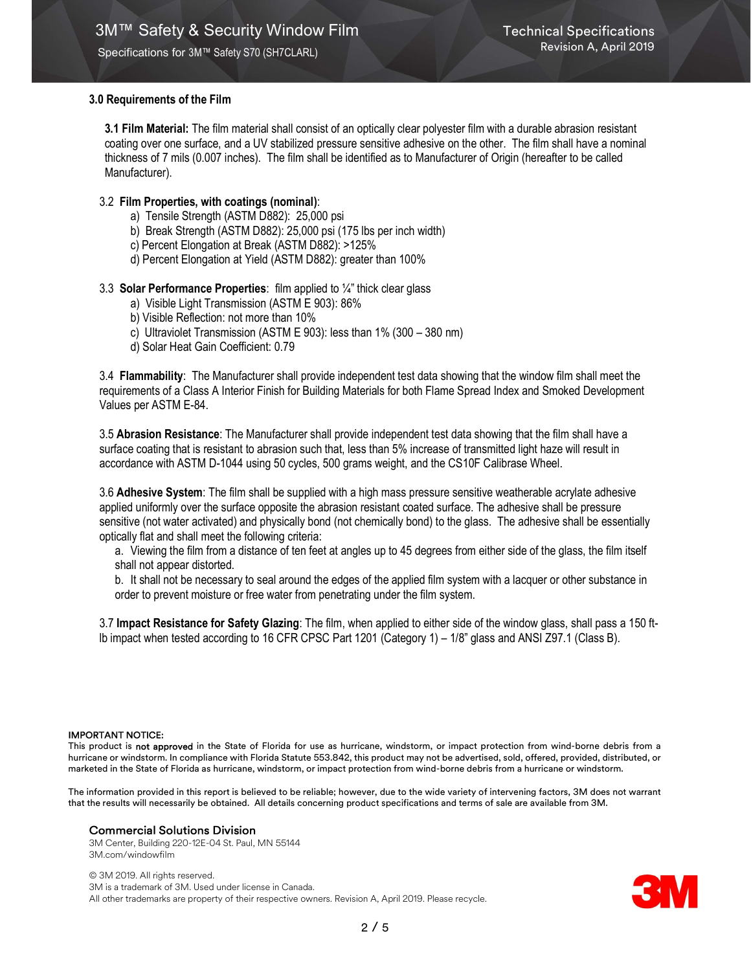Specifications for 3M™ Safety S70 (SH7CLARL)

# 3.0 Requirements of the Film

3.1 Film Material: The film material shall consist of an optically clear polyester film with a durable abrasion resistant coating over one surface, and a UV stabilized pressure sensitive adhesive on the other. The film shall have a nominal thickness of 7 mils (0.007 inches). The film shall be identified as to Manufacturer of Origin (hereafter to be called Manufacturer).

# 3.2 Film Properties, with coatings (nominal):

- a) Tensile Strength (ASTM D882): 25,000 psi
- b) Break Strength (ASTM D882): 25,000 psi (175 lbs per inch width)
- c) Percent Elongation at Break (ASTM D882): >125%
- d) Percent Elongation at Yield (ASTM D882): greater than 100%

# 3.3 Solar Performance Properties: film applied to ¼" thick clear glass

- a) Visible Light Transmission (ASTM E 903): 86%
- b) Visible Reflection: not more than 10%
- c) Ultraviolet Transmission (ASTM E 903): less than 1% (300 380 nm)
- d) Solar Heat Gain Coefficient: 0.79

3.4 Flammability: The Manufacturer shall provide independent test data showing that the window film shall meet the requirements of a Class A Interior Finish for Building Materials for both Flame Spread Index and Smoked Development Values per ASTM E-84.

3.5 Abrasion Resistance: The Manufacturer shall provide independent test data showing that the film shall have a surface coating that is resistant to abrasion such that, less than 5% increase of transmitted light haze will result in accordance with ASTM D-1044 using 50 cycles, 500 grams weight, and the CS10F Calibrase Wheel.

3.6 Adhesive System: The film shall be supplied with a high mass pressure sensitive weatherable acrylate adhesive applied uniformly over the surface opposite the abrasion resistant coated surface. The adhesive shall be pressure sensitive (not water activated) and physically bond (not chemically bond) to the glass. The adhesive shall be essentially optically flat and shall meet the following criteria:

a. Viewing the film from a distance of ten feet at angles up to 45 degrees from either side of the glass, the film itself shall not appear distorted.

b. It shall not be necessary to seal around the edges of the applied film system with a lacquer or other substance in order to prevent moisture or free water from penetrating under the film system.

3.7 Impact Resistance for Safety Glazing: The film, when applied to either side of the window glass, shall pass a 150 ftlb impact when tested according to 16 CFR CPSC Part 1201 (Category 1) – 1/8" glass and ANSI Z97.1 (Class B).

## IMPORTANT NOTICE:

This product is not approved in the State of Florida for use as hurricane, windstorm, or impact protection from wind-borne debris from a hurricane or windstorm. In compliance with Florida Statute 553.842, this product may not be advertised, sold, offered, provided, distributed, or marketed in the State of Florida as hurricane, windstorm, or impact protection from wind-borne debris from a hurricane or windstorm.

The information provided in this report is believed to be reliable; however, due to the wide variety of intervening factors, 3M does not warrant that the results will necessarily be obtained. All details concerning product specifications and terms of sale are available from 3M.

# Commercial Solutions Division

3M Center, Building 220-12E-04 St. Paul, MN 55144 3M.com/windowfilm

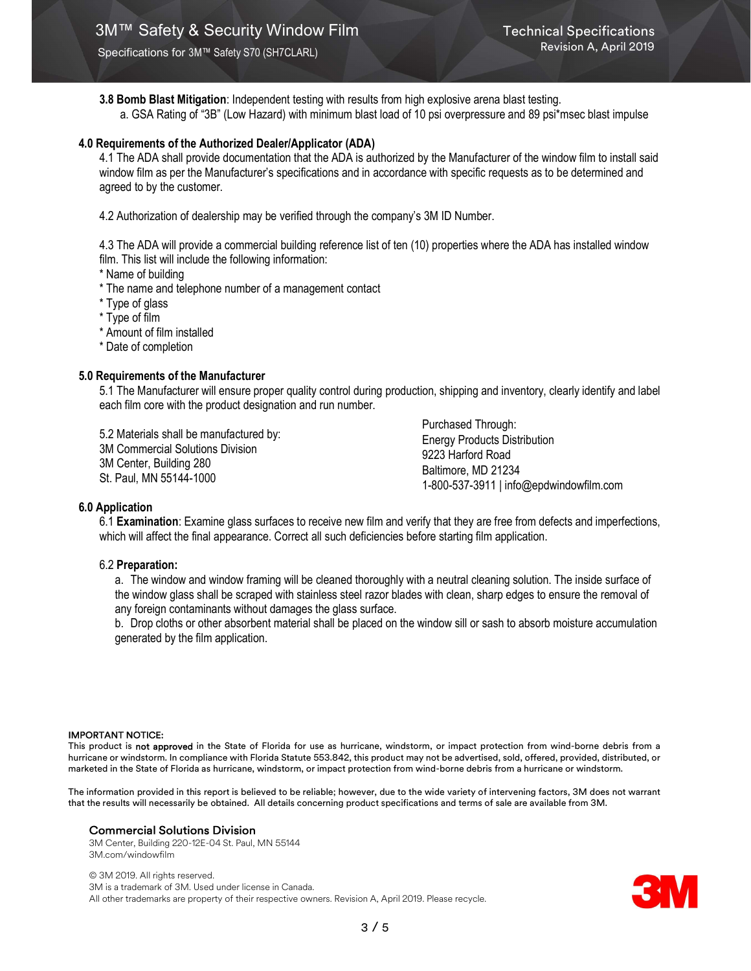Specifications for 3M™ Safety S70 (SH7CLARL)

3.8 Bomb Blast Mitigation: Independent testing with results from high explosive arena blast testing. a. GSA Rating of "3B" (Low Hazard) with minimum blast load of 10 psi overpressure and 89 psi\*msec blast impulse

## 4.0 Requirements of the Authorized Dealer/Applicator (ADA)

4.1 The ADA shall provide documentation that the ADA is authorized by the Manufacturer of the window film to install said window film as per the Manufacturer's specifications and in accordance with specific requests as to be determined and agreed to by the customer.

4.2 Authorization of dealership may be verified through the company's 3M ID Number.

4.3 The ADA will provide a commercial building reference list of ten (10) properties where the ADA has installed window film. This list will include the following information:

\* Name of building

\* The name and telephone number of a management contact

\* Type of glass

\* Type of film

\* Amount of film installed

\* Date of completion

## 5.0 Requirements of the Manufacturer

5.1 The Manufacturer will ensure proper quality control during production, shipping and inventory, clearly identify and label each film core with the product designation and run number.

5.2 Materials shall be manufactured by: 3M Commercial Solutions Division 3M Center, Building 280 St. Paul, MN 55144-1000

Purchased Through: Energy Products Distribution 9223 Harford Road Baltimore, MD 21234 1-800-537-3911 | info@epdwindowfilm.com

#### 6.0 Application

6.1 Examination: Examine glass surfaces to receive new film and verify that they are free from defects and imperfections, which will affect the final appearance. Correct all such deficiencies before starting film application.

## 6.2 Preparation:

a. The window and window framing will be cleaned thoroughly with a neutral cleaning solution. The inside surface of the window glass shall be scraped with stainless steel razor blades with clean, sharp edges to ensure the removal of any foreign contaminants without damages the glass surface.

b. Drop cloths or other absorbent material shall be placed on the window sill or sash to absorb moisture accumulation generated by the film application.

#### IMPORTANT NOTICE:

This product is not approved in the State of Florida for use as hurricane, windstorm, or impact protection from wind-borne debris from a hurricane or windstorm. In compliance with Florida Statute 553.842, this product may not be advertised, sold, offered, provided, distributed, or marketed in the State of Florida as hurricane, windstorm, or impact protection from wind-borne debris from a hurricane or windstorm.

The information provided in this report is believed to be reliable; however, due to the wide variety of intervening factors, 3M does not warrant that the results will necessarily be obtained. All details concerning product specifications and terms of sale are available from 3M.

#### Commercial Solutions Division

3M Center, Building 220-12E-04 St. Paul, MN 55144 3M.com/windowfilm

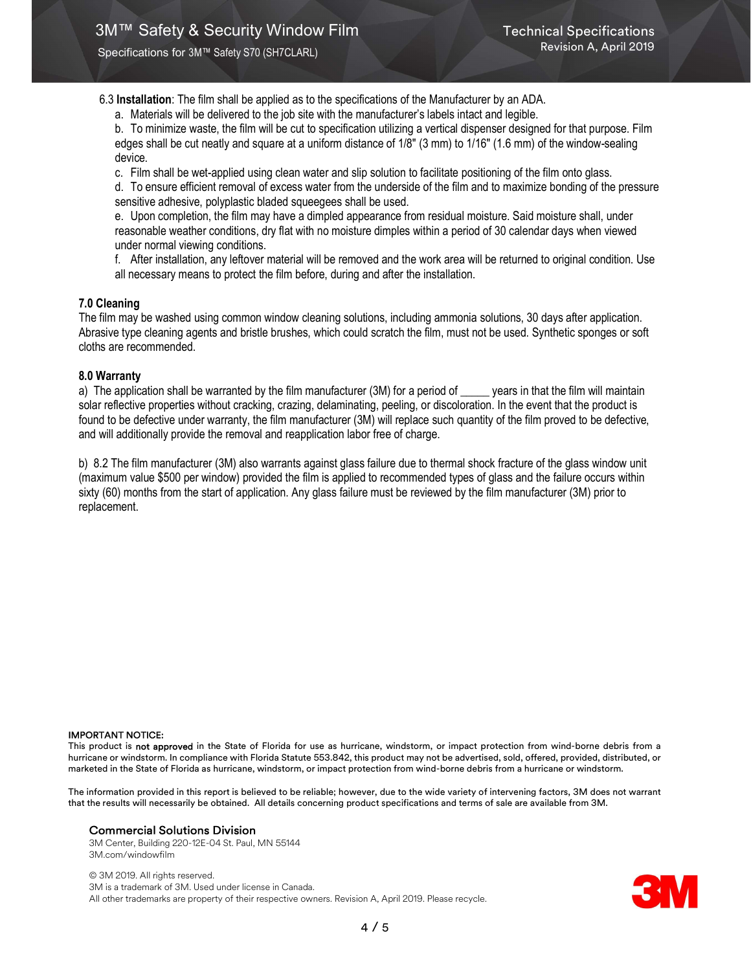Specifications for 3M™ Safety S70 (SH7CLARL)

6.3 Installation: The film shall be applied as to the specifications of the Manufacturer by an ADA.

a. Materials will be delivered to the job site with the manufacturer's labels intact and legible.

b. To minimize waste, the film will be cut to specification utilizing a vertical dispenser designed for that purpose. Film edges shall be cut neatly and square at a uniform distance of 1/8" (3 mm) to 1/16" (1.6 mm) of the window-sealing device.

c. Film shall be wet-applied using clean water and slip solution to facilitate positioning of the film onto glass.

d. To ensure efficient removal of excess water from the underside of the film and to maximize bonding of the pressure sensitive adhesive, polyplastic bladed squeegees shall be used.

e. Upon completion, the film may have a dimpled appearance from residual moisture. Said moisture shall, under reasonable weather conditions, dry flat with no moisture dimples within a period of 30 calendar days when viewed under normal viewing conditions.

f. After installation, any leftover material will be removed and the work area will be returned to original condition. Use all necessary means to protect the film before, during and after the installation.

# 7.0 Cleaning

The film may be washed using common window cleaning solutions, including ammonia solutions, 30 days after application. Abrasive type cleaning agents and bristle brushes, which could scratch the film, must not be used. Synthetic sponges or soft cloths are recommended.

## 8.0 Warranty

a) The application shall be warranted by the film manufacturer (3M) for a period of \_\_\_\_\_ years in that the film will maintain solar reflective properties without cracking, crazing, delaminating, peeling, or discoloration. In the event that the product is found to be defective under warranty, the film manufacturer (3M) will replace such quantity of the film proved to be defective, and will additionally provide the removal and reapplication labor free of charge.

b) 8.2 The film manufacturer (3M) also warrants against glass failure due to thermal shock fracture of the glass window unit (maximum value \$500 per window) provided the film is applied to recommended types of glass and the failure occurs within sixty (60) months from the start of application. Any glass failure must be reviewed by the film manufacturer (3M) prior to replacement.

#### IMPORTANT NOTICE:

This product is not approved in the State of Florida for use as hurricane, windstorm, or impact protection from wind-borne debris from a hurricane or windstorm. In compliance with Florida Statute 553.842, this product may not be advertised, sold, offered, provided, distributed, or marketed in the State of Florida as hurricane, windstorm, or impact protection from wind-borne debris from a hurricane or windstorm.

The information provided in this report is believed to be reliable; however, due to the wide variety of intervening factors, 3M does not warrant that the results will necessarily be obtained. All details concerning product specifications and terms of sale are available from 3M.

## Commercial Solutions Division

3M Center, Building 220-12E-04 St. Paul, MN 55144 3M.com/windowfilm